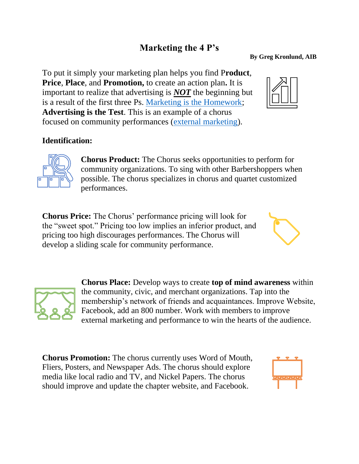## **Marketing the 4 P's**

#### **By Greg Kronlund, AIB**

To put it simply your marketing plan helps you find P**roduct**, **Price**, **Place**, and **Promotion,** to create an action plan**.** It is important to realize that advertising is *NOT* the beginning but is a result of the first three Ps. [Marketing is the Homework;](https://youtu.be/zifkYTRLHLk) **Advertising is the Test**. This is an example of a chorus focused on community performances [\(external marketing\)](https://bmmagazine.co.uk/marketing/whats-the-difference-between-internal-and-external-marketing/).

## **Identification:**

**Chorus Product:** The Chorus seeks opportunities to perform for community organizations. To sing with other Barbershoppers when possible. The chorus specializes in chorus and quartet customized performances.

**Chorus Price:** The Chorus' performance pricing will look for the "sweet spot." Pricing too low implies an inferior product, and pricing too high discourages performances. The Chorus will develop a sliding scale for community performance.

> **Chorus Place:** Develop ways to create **top of mind awareness** within the community, civic, and merchant organizations. Tap into the membership's network of friends and acquaintances. Improve Website, Facebook, add an 800 number. Work with members to improve external marketing and performance to win the hearts of the audience.

**Chorus Promotion:** The chorus currently uses Word of Mouth, Fliers, Posters, and Newspaper Ads. The chorus should explore media like local radio and TV, and Nickel Papers. The chorus should improve and update the chapter website, and Facebook.









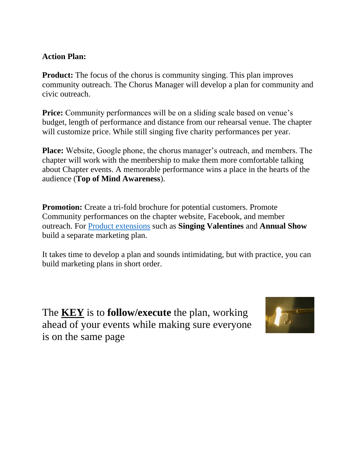#### **Action Plan:**

**Product:** The focus of the chorus is community singing. This plan improves community outreach. The Chorus Manager will develop a plan for community and civic outreach.

**Price:** Community performances will be on a sliding scale based on venue's budget, length of performance and distance from our rehearsal venue. The chapter will customize price. While still singing five charity performances per year.

**Place:** Website, Google phone, the chorus manager's outreach, and members. The chapter will work with the membership to make them more comfortable talking about Chapter events. A memorable performance wins a place in the hearts of the audience (**Top of Mind Awareness**).

**Promotion:** Create a tri-fold brochure for potential customers. Promote Community performances on the chapter website, Facebook, and member outreach. For [Product extensions](https://en.wikipedia.org/wiki/Product_line_extension) such as **Singing Valentines** and **Annual Show** build a separate marketing plan.

It takes time to develop a plan and sounds intimidating, but with practice, you can build marketing plans in short order.

The **KEY** is to **follow/execute** the plan, working ahead of your events while making sure everyone is on the same page

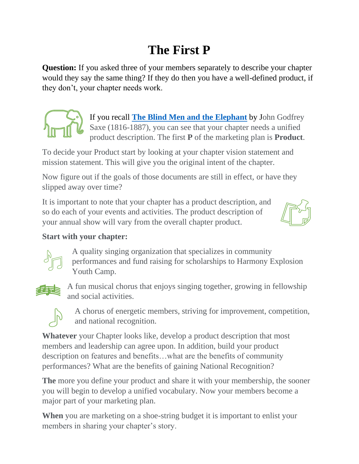# **The First P**

**Question:** If you asked three of your members separately to describe your chapter would they say the same thing? If they do then you have a well-defined product, if they don't, your chapter needs work.



If you recall **[The Blind Men and the Elephant](https://www.extension.iastate.edu/4h/files/page/files/The%20Blind%20Men%20and%20the%20Elephant.pdf)** by John Godfrey Saxe (1816-1887), you can see that your chapter needs a unified product description. The first **P** of the marketing plan is **Product**.

To decide your Product start by looking at your chapter vision statement and mission statement. This will give you the original intent of the chapter.

Now figure out if the goals of those documents are still in effect, or have they slipped away over time?

It is important to note that your chapter has a product description, and so do each of your events and activities. The product description of your annual show will vary from the overall chapter product.



## **Start with your chapter:**



A quality singing organization that specializes in community performances and fund raising for scholarships to Harmony Explosion Youth Camp.



A fun musical chorus that enjoys singing together, growing in fellowship and social activities.



A chorus of energetic members, striving for improvement, competition, and national recognition.

**Whatever** your Chapter looks like, develop a product description that most members and leadership can agree upon. In addition, build your product description on features and benefits…what are the benefits of community performances? What are the benefits of gaining National Recognition?

**The** more you define your product and share it with your membership, the sooner you will begin to develop a unified vocabulary. Now your members become a major part of your marketing plan.

**When** you are marketing on a shoe-string budget it is important to enlist your members in sharing your chapter's story.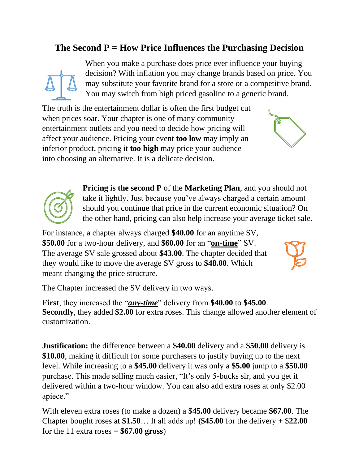## **The Second P = How Price Influences the Purchasing Decision**



When you make a purchase does price ever influence your buying decision? With inflation you may change brands based on price. You may substitute your favorite brand for a store or a competitive brand. You may switch from high priced gasoline to a generic brand.

The truth is the entertainment dollar is often the first budget cut when prices soar. Your chapter is one of many community entertainment outlets and you need to decide how pricing will affect your audience. Pricing your event **too low** may imply an inferior product, pricing it **too high** may price your audience into choosing an alternative. It is a delicate decision.





**Pricing is the second P** of the **Marketing Plan**, and you should not take it lightly. Just because you've always charged a certain amount should you continue that price in the current economic situation? On the other hand, pricing can also help increase your average ticket sale.

For instance, a chapter always charged **\$40.00** for an anytime SV, **\$50.00** for a two-hour delivery, and **\$60.00** for an "**on-time**" SV. The average SV sale grossed about **\$43.00**. The chapter decided that they would like to move the average SV gross to **\$48.00**. Which meant changing the price structure.



The Chapter increased the SV delivery in two ways.

**First**, they increased the "*any-time*" delivery from **\$40.00** to **\$45.00**. **Secondly**, they added **\$2.00** for extra roses. This change allowed another element of customization.

**Justification:** the difference between a **\$40.00** delivery and a **\$50.00** delivery is **\$10.00**, making it difficult for some purchasers to justify buying up to the next level. While increasing to a **\$45.00** delivery it was only a **\$5.00** jump to a **\$50.00** purchase. This made selling much easier, "It's only 5-bucks sir, and you get it delivered within a two-hour window. You can also add extra roses at only \$2.00 apiece."

With eleven extra roses (to make a dozen) a \$**45.00** delivery became **\$67.00**. The Chapter bought roses at **\$1.50**… It all adds up! **(\$45.00** for the delivery + \$**22.00** for the 11 extra roses  $=$  **\$67.00 gross**)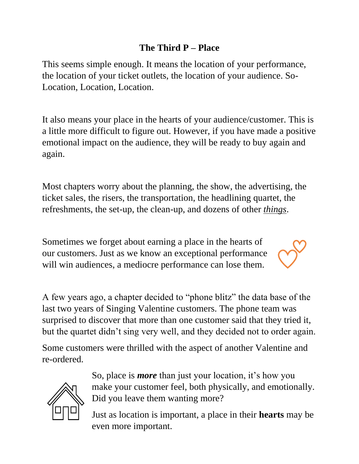## **The Third P – Place**

This seems simple enough. It means the location of your performance, the location of your ticket outlets, the location of your audience. So-Location, Location, Location.

It also means your place in the hearts of your audience/customer. This is a little more difficult to figure out. However, if you have made a positive emotional impact on the audience, they will be ready to buy again and again.

Most chapters worry about the planning, the show, the advertising, the ticket sales, the risers, the transportation, the headlining quartet, the refreshments, the set-up, the clean-up, and dozens of other *things*.

Sometimes we forget about earning a place in the hearts of our customers. Just as we know an exceptional performance will win audiences, a mediocre performance can lose them.



A few years ago, a chapter decided to "phone blitz" the data base of the last two years of Singing Valentine customers. The phone team was surprised to discover that more than one customer said that they tried it, but the quartet didn't sing very well, and they decided not to order again.

Some customers were thrilled with the aspect of another Valentine and re-ordered.



So, place is *more* than just your location, it's how you make your customer feel, both physically, and emotionally. Did you leave them wanting more?

Just as location is important, a place in their **hearts** may be even more important.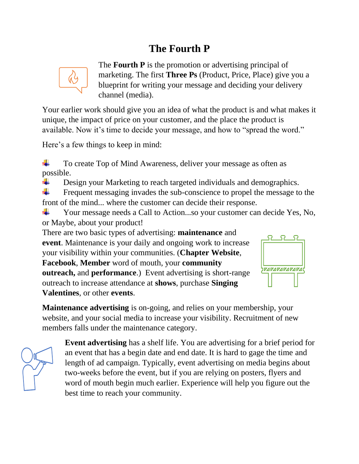## **The Fourth P**



The **Fourth P** is the promotion or advertising principal of marketing. The first **Three Ps** (Product, Price, Place) give you a blueprint for writing your message and deciding your delivery channel (media).

Your earlier work should give you an idea of what the product is and what makes it unique, the impact of price on your customer, and the place the product is available. Now it's time to decide your message, and how to "spread the word."

Here's a few things to keep in mind:

÷ To create Top of Mind Awareness, deliver your message as often as possible.

÷ Design your Marketing to reach targeted individuals and demographics.

÷. Frequent messaging invades the sub-conscience to propel the message to the front of the mind... where the customer can decide their response.

÷ Your message needs a Call to Action...so your customer can decide Yes, No, or Maybe, about your product!

There are two basic types of advertising: **maintenance** and **event**. Maintenance is your daily and ongoing work to increase your visibility within your communities. (**Chapter Website**, **Facebook**, **Member** word of mouth, your **community outreach,** and **performance**.) Event advertising is short-range outreach to increase attendance at **shows**, purchase **Singing Valentines**, or other **events**.



**Maintenance advertising** is on-going, and relies on your membership, your website, and your social media to increase your visibility. Recruitment of new members falls under the maintenance category.



**Event advertising** has a shelf life. You are advertising for a brief period for an event that has a begin date and end date. It is hard to gage the time and length of ad campaign. Typically, event advertising on media begins about two-weeks before the event, but if you are relying on posters, flyers and word of mouth begin much earlier. Experience will help you figure out the best time to reach your community.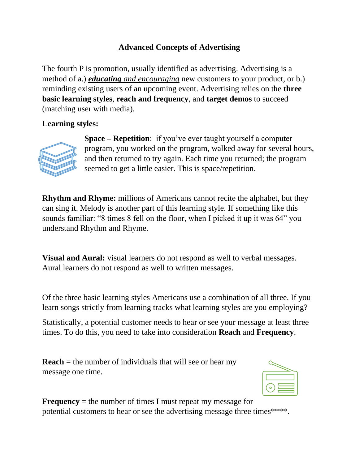### **Advanced Concepts of Advertising**

The fourth P is promotion, usually identified as advertising. Advertising is a method of a.) *educating and encouraging* new customers to your product, or b.) reminding existing users of an upcoming event. Advertising relies on the **three basic learning styles**, **reach and frequency**, and **target demos** to succeed (matching user with media).

#### **Learning styles:**



**Space – Repetition**: if you've ever taught yourself a computer program, you worked on the program, walked away for several hours, and then returned to try again. Each time you returned; the program seemed to get a little easier. This is space/repetition.

**Rhythm and Rhyme:** millions of Americans cannot recite the alphabet, but they can sing it. Melody is another part of this learning style. If something like this sounds familiar: "8 times 8 fell on the floor, when I picked it up it was 64" you understand Rhythm and Rhyme.

**Visual and Aural:** visual learners do not respond as well to verbal messages. Aural learners do not respond as well to written messages.

Of the three basic learning styles Americans use a combination of all three. If you learn songs strictly from learning tracks what learning styles are you employing?

Statistically, a potential customer needs to hear or see your message at least three times. To do this, you need to take into consideration **Reach** and **Frequency**.

**Reach** = the number of individuals that will see or hear my message one time.



**Frequency** = the number of times I must repeat my message for potential customers to hear or see the advertising message three times\*\*\*\*.